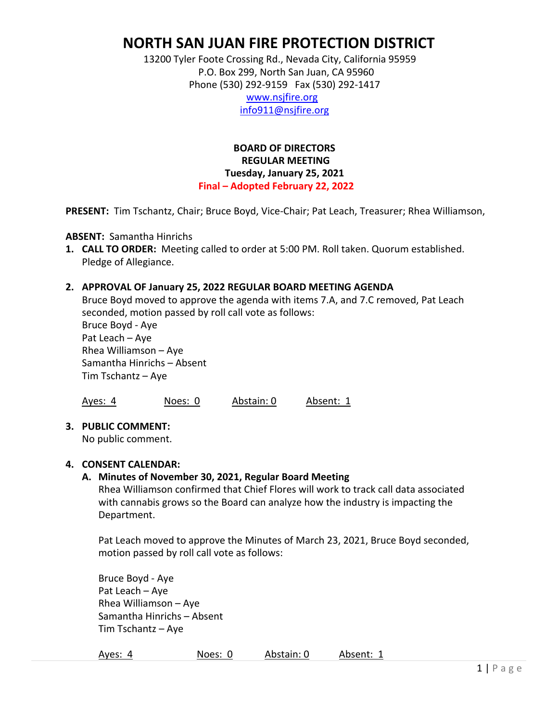# **NORTH SAN JUAN FIRE PROTECTION DISTRICT**

 13200 Tyler Foote Crossing Rd., Nevada City, California 95959 P.O. Box 299, North San Juan, CA 95960 Phone (530) 292‐9159 Fax (530) 292‐1417

 www.nsjfire.org info911@nsjfire.org

# **BOARD OF DIRECTORS REGULAR MEETING Tuesday, January 25, 2021 Final – Adopted February 22, 2022**

**PRESENT:** Tim Tschantz, Chair; Bruce Boyd, Vice‐Chair; Pat Leach, Treasurer; Rhea Williamson,

**ABSENT:** Samantha Hinrichs

**1. CALL TO ORDER:** Meeting called to order at 5:00 PM. Roll taken. Quorum established. Pledge of Allegiance.

## **2. APPROVAL OF January 25, 2022 REGULAR BOARD MEETING AGENDA**

Bruce Boyd moved to approve the agenda with items 7.A, and 7.C removed, Pat Leach seconded, motion passed by roll call vote as follows: Bruce Boyd ‐ Aye Pat Leach – Aye Rhea Williamson – Aye Samantha Hinrichs – Absent Tim Tschantz – Aye

Ayes: 4 Noes: 0 Abstain: 0 Absent: 1

#### **3. PUBLIC COMMENT:**

No public comment.

#### **4. CONSENT CALENDAR:**

#### **A. Minutes of November 30, 2021, Regular Board Meeting**

Rhea Williamson confirmed that Chief Flores will work to track call data associated with cannabis grows so the Board can analyze how the industry is impacting the Department.

Pat Leach moved to approve the Minutes of March 23, 2021, Bruce Boyd seconded, motion passed by roll call vote as follows:

Bruce Boyd ‐ Aye Pat Leach – Aye Rhea Williamson – Aye Samantha Hinrichs – Absent Tim Tschantz – Aye

| Ayes: 4 | Noes: 0 | Abstain: 0 | Absent: |
|---------|---------|------------|---------|
|---------|---------|------------|---------|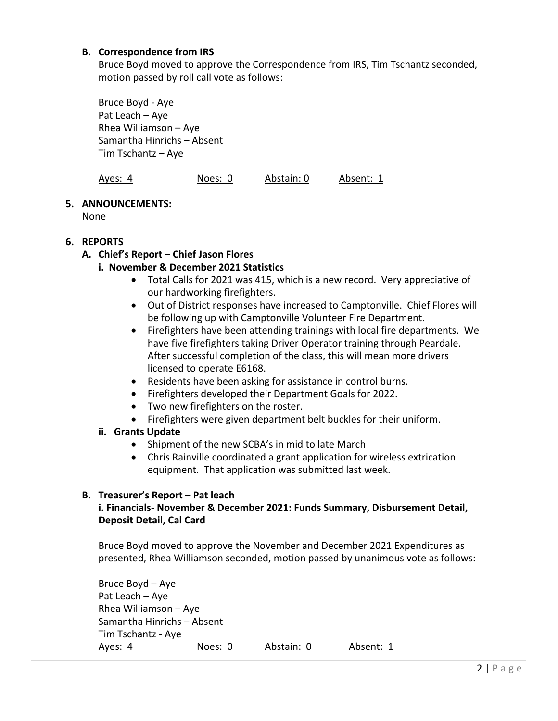## **B. Correspondence from IRS**

Bruce Boyd moved to approve the Correspondence from IRS, Tim Tschantz seconded, motion passed by roll call vote as follows:

Bruce Boyd ‐ Aye Pat Leach – Aye Rhea Williamson – Aye Samantha Hinrichs – Absent Tim Tschantz – Aye

| Ayes: 4 | Noes: 0 | Abstain: 0 | Absent: 1 |
|---------|---------|------------|-----------|
|---------|---------|------------|-----------|

### **5. ANNOUNCEMENTS:**

None

## **6. REPORTS**

# **A. Chief's Report – Chief Jason Flores**

## **i. November & December 2021 Statistics**

- Total Calls for 2021 was 415, which is a new record. Very appreciative of our hardworking firefighters.
- Out of District responses have increased to Camptonville. Chief Flores will be following up with Camptonville Volunteer Fire Department.
- Firefighters have been attending trainings with local fire departments. We have five firefighters taking Driver Operator training through Peardale. After successful completion of the class, this will mean more drivers licensed to operate E6168.
- Residents have been asking for assistance in control burns.
- Firefighters developed their Department Goals for 2022.
- Two new firefighters on the roster.
- Firefighters were given department belt buckles for their uniform.

## **ii. Grants Update**

- Shipment of the new SCBA's in mid to late March
- Chris Rainville coordinated a grant application for wireless extrication equipment. That application was submitted last week.

## **B. Treasurer's Report – Pat leach**

## **i. Financials‐ November & December 2021: Funds Summary, Disbursement Detail, Deposit Detail, Cal Card**

Bruce Boyd moved to approve the November and December 2021 Expenditures as presented, Rhea Williamson seconded, motion passed by unanimous vote as follows:

| Bruce Boyd - Aye           |         |            |           |
|----------------------------|---------|------------|-----------|
| Pat Leach - Aye            |         |            |           |
| Rhea Williamson $-$ Aye    |         |            |           |
| Samantha Hinrichs - Absent |         |            |           |
| Tim Tschantz - Aye         |         |            |           |
| Ayes: 4                    | Noes: 0 | Abstain: 0 | Absent: 1 |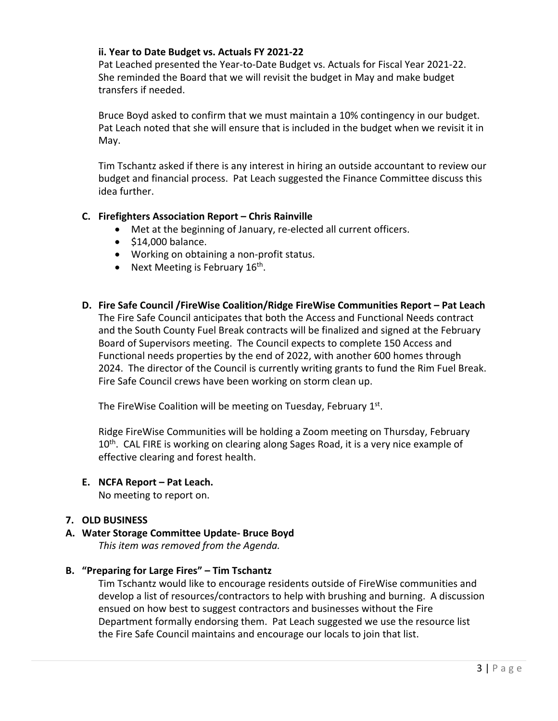# **ii. Year to Date Budget vs. Actuals FY 2021‐22**

Pat Leached presented the Year‐to‐Date Budget vs. Actuals for Fiscal Year 2021‐22. She reminded the Board that we will revisit the budget in May and make budget transfers if needed.

Bruce Boyd asked to confirm that we must maintain a 10% contingency in our budget. Pat Leach noted that she will ensure that is included in the budget when we revisit it in May.

Tim Tschantz asked if there is any interest in hiring an outside accountant to review our budget and financial process. Pat Leach suggested the Finance Committee discuss this idea further.

# **C. Firefighters Association Report – Chris Rainville**

- Met at the beginning of January, re-elected all current officers.
- $\bullet$  \$14,000 balance.
- Working on obtaining a non-profit status.
- Next Meeting is February  $16<sup>th</sup>$ .
- **D. Fire Safe Council /FireWise Coalition/Ridge FireWise Communities Report Pat Leach**  The Fire Safe Council anticipates that both the Access and Functional Needs contract and the South County Fuel Break contracts will be finalized and signed at the February Board of Supervisors meeting. The Council expects to complete 150 Access and Functional needs properties by the end of 2022, with another 600 homes through 2024. The director of the Council is currently writing grants to fund the Rim Fuel Break. Fire Safe Council crews have been working on storm clean up.

The FireWise Coalition will be meeting on Tuesday, February 1<sup>st</sup>.

Ridge FireWise Communities will be holding a Zoom meeting on Thursday, February 10<sup>th</sup>. CAL FIRE is working on clearing along Sages Road, it is a very nice example of effective clearing and forest health.

**E. NCFA Report – Pat Leach.** 

No meeting to report on.

## **7. OLD BUSINESS**

**A. Water Storage Committee Update‐ Bruce Boyd**  *This item was removed from the Agenda.* 

## **B. "Preparing for Large Fires" – Tim Tschantz**

Tim Tschantz would like to encourage residents outside of FireWise communities and develop a list of resources/contractors to help with brushing and burning. A discussion ensued on how best to suggest contractors and businesses without the Fire Department formally endorsing them. Pat Leach suggested we use the resource list the Fire Safe Council maintains and encourage our locals to join that list.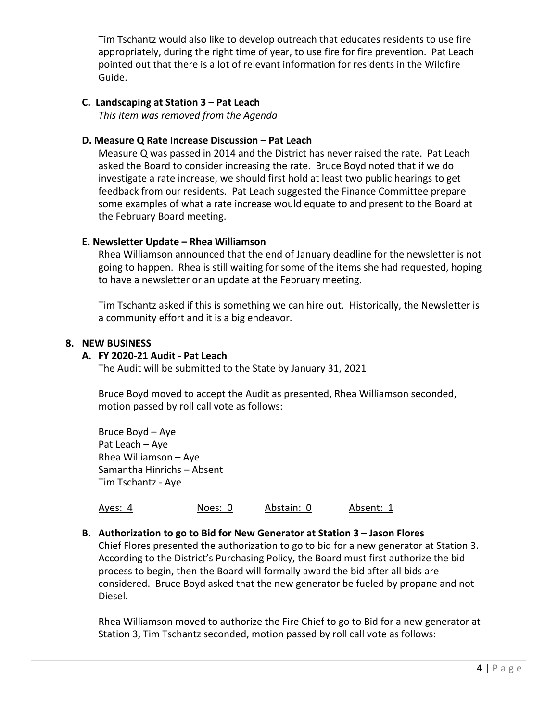Tim Tschantz would also like to develop outreach that educates residents to use fire appropriately, during the right time of year, to use fire for fire prevention. Pat Leach pointed out that there is a lot of relevant information for residents in the Wildfire Guide.

## **C. Landscaping at Station 3 – Pat Leach**

*This item was removed from the Agenda* 

## **D. Measure Q Rate Increase Discussion – Pat Leach**

Measure Q was passed in 2014 and the District has never raised the rate. Pat Leach asked the Board to consider increasing the rate. Bruce Boyd noted that if we do investigate a rate increase, we should first hold at least two public hearings to get feedback from our residents. Pat Leach suggested the Finance Committee prepare some examples of what a rate increase would equate to and present to the Board at the February Board meeting.

### **E. Newsletter Update – Rhea Williamson**

Rhea Williamson announced that the end of January deadline for the newsletter is not going to happen. Rhea is still waiting for some of the items she had requested, hoping to have a newsletter or an update at the February meeting.

Tim Tschantz asked if this is something we can hire out. Historically, the Newsletter is a community effort and it is a big endeavor.

### **8. NEW BUSINESS**

### **A. FY 2020‐21 Audit ‐ Pat Leach**

The Audit will be submitted to the State by January 31, 2021

Bruce Boyd moved to accept the Audit as presented, Rhea Williamson seconded, motion passed by roll call vote as follows:

Bruce Boyd – Aye Pat Leach – Aye Rhea Williamson – Aye Samantha Hinrichs – Absent Tim Tschantz ‐ Aye

Ayes: 4 Noes: 0 Abstain: 0 Absent: 1

## **B. Authorization to go to Bid for New Generator at Station 3 – Jason Flores**

Chief Flores presented the authorization to go to bid for a new generator at Station 3. According to the District's Purchasing Policy, the Board must first authorize the bid process to begin, then the Board will formally award the bid after all bids are considered. Bruce Boyd asked that the new generator be fueled by propane and not Diesel.

Rhea Williamson moved to authorize the Fire Chief to go to Bid for a new generator at Station 3, Tim Tschantz seconded, motion passed by roll call vote as follows: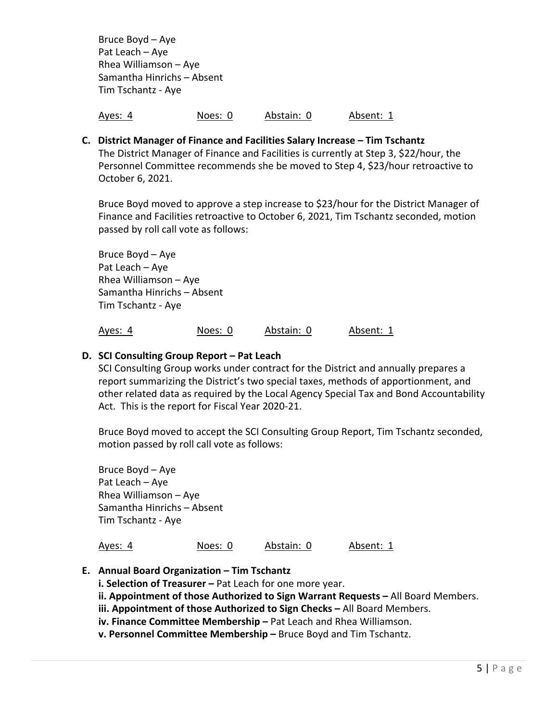Bruce Boyd – Aye Pat Leach – Aye Rhea Williamson – Aye Samantha Hinrichs – Absent Tim Tschantz ‐ Aye

Ayes: 4 Noes: 0 Abstain: 0 Absent: 1

**C. District Manager of Finance and Facilities Salary Increase – Tim Tschantz**  The District Manager of Finance and Facilities is currently at Step 3, \$22/hour, the Personnel Committee recommends she be moved to Step 4, \$23/hour retroactive to October 6, 2021.

Bruce Boyd moved to approve a step increase to \$23/hour for the District Manager of Finance and Facilities retroactive to October 6, 2021, Tim Tschantz seconded, motion passed by roll call vote as follows:

Bruce Boyd – Aye Pat Leach – Aye Rhea Williamson – Aye Samantha Hinrichs – Absent Tim Tschantz ‐ Aye

Ayes: 4 Noes: 0 Abstain: 0 Absent: 1

# **D. SCI Consulting Group Report – Pat Leach**

SCI Consulting Group works under contract for the District and annually prepares a report summarizing the District's two special taxes, methods of apportionment, and other related data as required by the Local Agency Special Tax and Bond Accountability Act. This is the report for Fiscal Year 2020‐21.

Bruce Boyd moved to accept the SCI Consulting Group Report, Tim Tschantz seconded, motion passed by roll call vote as follows:

Bruce Boyd – Aye Pat Leach – Aye Rhea Williamson – Aye Samantha Hinrichs – Absent Tim Tschantz ‐ Aye

#### Ayes: 4 Noes: 0 Abstain: 0 Absent: 1

- **E. Annual Board Organization Tim Tschantz** 
	- **i. Selection of Treasurer Pat Leach for one more year.**

 **ii. Appointment of those Authorized to Sign Warrant Requests –** All Board Members.

 **iii. Appointment of those Authorized to Sign Checks –** All Board Members.

 **iv. Finance Committee Membership –** Pat Leach and Rhea Williamson.

 **v. Personnel Committee Membership –** Bruce Boyd and Tim Tschantz.